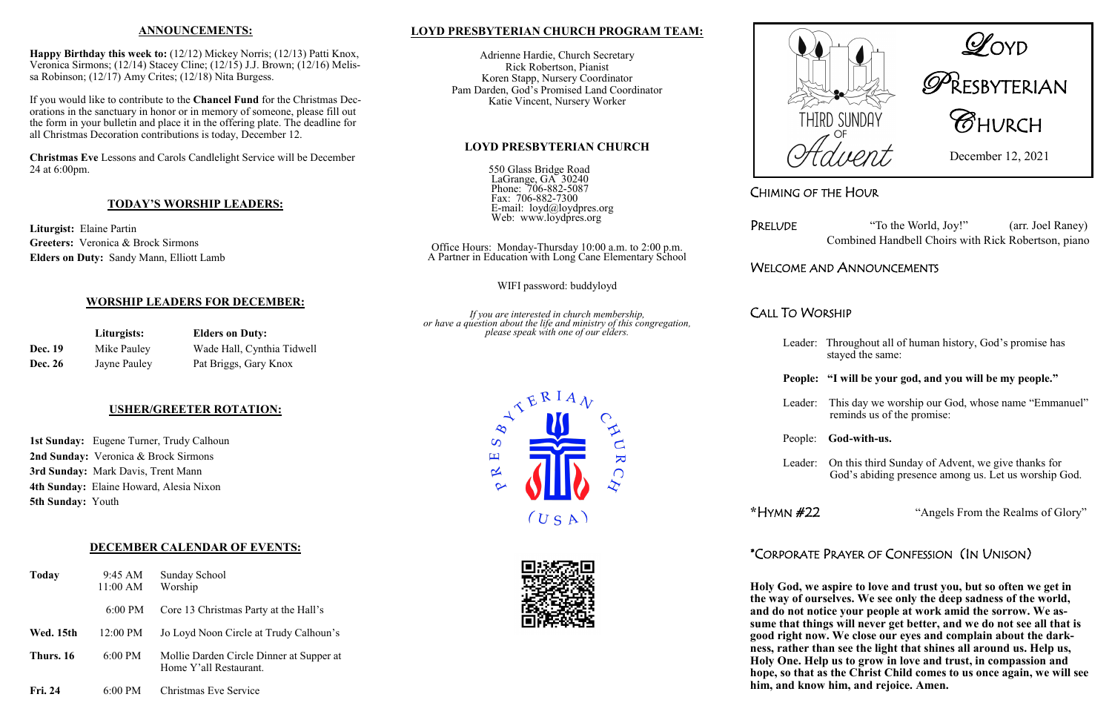CHIMING OF THE HOUR

PRELUDE "To the World, Joy!" (arr. Joel Raney) Combined Handbell Choirs with Rick Robertson, piano

# WELCOME AND ANNOUNCEMENTS

CALL TO WORSHIP

Leader: Throughout all of human history, God's promise has stayed the same:

### **People: "I will be your god, and you will be my people."**

Leader: This day we worship our God, whose name "Emmanuel" reminds us of the promise:

### People: **God-with-us.**

Leader: On this third Sunday of Advent, we give thanks for God's abiding presence among us. Let us worship God.

**\***HYMN #22"Angels From the Realms of Glory"

# \*CORPORATE PRAYER OF CONFESSION (IN UNISON)

**Holy God, we aspire to love and trust you, but so often we get in the way of ourselves. We see only the deep sadness of the world, and do not notice your people at work amid the sorrow. We assume that things will never get better, and we do not see all that is good right now. We close our eyes and complain about the darkness, rather than see the light that shines all around us. Help us, Holy One. Help us to grow in love and trust, in compassion and hope, so that as the Christ Child comes to us once again, we will see him, and know him, and rejoice. Amen.**



|                | Liturgists:  | <b>Elders on Duty:</b><br>Wade Hall, Cynthia Tidwell |  |
|----------------|--------------|------------------------------------------------------|--|
| <b>Dec. 19</b> | Mike Pauley  |                                                      |  |
| <b>Dec. 26</b> | Jayne Pauley | Pat Briggs, Gary Knox                                |  |



# n<br>RESBYTERIAN

THIRD SUNDAY **CHURCH** 

December 12, 2021

### **ANNOUNCEMENTS:**

**Happy Birthday this week to:** (12/12) Mickey Norris; (12/13) Patti Knox, Veronica Sirmons; (12/14) Stacey Cline; (12/15) J.J. Brown; (12/16) Melissa Robinson; (12/17) Amy Crites; (12/18) Nita Burgess.

If you would like to contribute to the **Chancel Fund** for the Christmas Decorations in the sanctuary in honor or in memory of someone, please fill out the form in your bulletin and place it in the offering plate. The deadline for all Christmas Decoration contributions is today, December 12.

**Christmas Eve** Lessons and Carols Candlelight Service will be December 24 at 6:00pm.

### **TODAY'S WORSHIP LEADERS:**

**Liturgist:** Elaine Partin **Greeters:** Veronica & Brock Sirmons **Elders on Duty:** Sandy Mann, Elliott Lamb

### **WORSHIP LEADERS FOR DECEMBER:**

### **USHER/GREETER ROTATION:**

**1st Sunday:** Eugene Turner, Trudy Calhoun **2nd Sunday:** Veronica & Brock Sirmons **3rd Sunday:** Mark Davis, Trent Mann **4th Sunday:** Elaine Howard, Alesia Nixon **5th Sunday:** Youth

### **DECEMBER CALENDAR OF EVENTS:**

| <b>Today</b>   | $9:45 \text{ AM}$<br>11:00 AM | Sunday School<br>Worship                                           |
|----------------|-------------------------------|--------------------------------------------------------------------|
|                | $6:00 \text{ PM}$             | Core 13 Christmas Party at the Hall's                              |
| Wed. 15th      | 12:00 PM                      | Jo Loyd Noon Circle at Trudy Calhoun's                             |
| Thurs. 16      | $6:00$ PM                     | Mollie Darden Circle Dinner at Supper at<br>Home Y'all Restaurant. |
| <b>Fri. 24</b> | $6:00$ PM                     | Christmas Eve Service                                              |

### **LOYD PRESBYTERIAN CHURCH PROGRAM TEAM:**

Adrienne Hardie, Church Secretary Rick Robertson, Pianist Koren Stapp, Nursery Coordinator Pam Darden, God's Promised Land Coordinator Katie Vincent, Nursery Worker

### **LOYD PRESBYTERIAN CHURCH**

550 Glass Bridge Road LaGrange, GA 30240 Phone: 706-882-5087 Fax: 706-882-7300 E-mail: loyd@loydpres.org Web: www.loydpres.org

Office Hours: Monday-Thursday 10:00 a.m. to 2:00 p.m. A Partner in Education with Long Cane Elementary School

WIFI password: buddyloyd

*If you are interested in church membership, or have a question about the life and ministry of this congregation, please speak with one of our elders.*